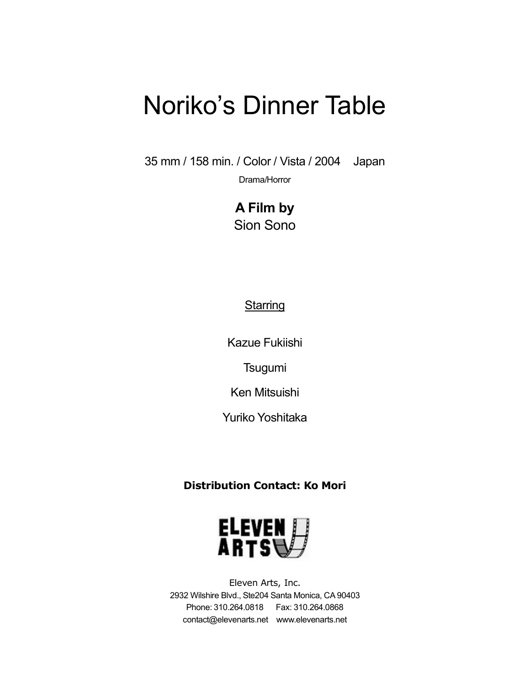35 mm / 158 min. / Color / Vista / 2004 Japan

Drama/Horror

**A Film by** Sion Sono

### **Starring**

Kazue Fukiishi

**Tsugumi** 

Ken Mitsuishi

Yuriko Yoshitaka

## **Distribution Contact: Ko Mori**



Eleven Arts, Inc. 2932 Wilshire Blvd., Ste204 Santa Monica, CA90403 Phone: 310.264.0818 Fax: 310.264.0868 contact@elevenarts.net www.elevenarts.net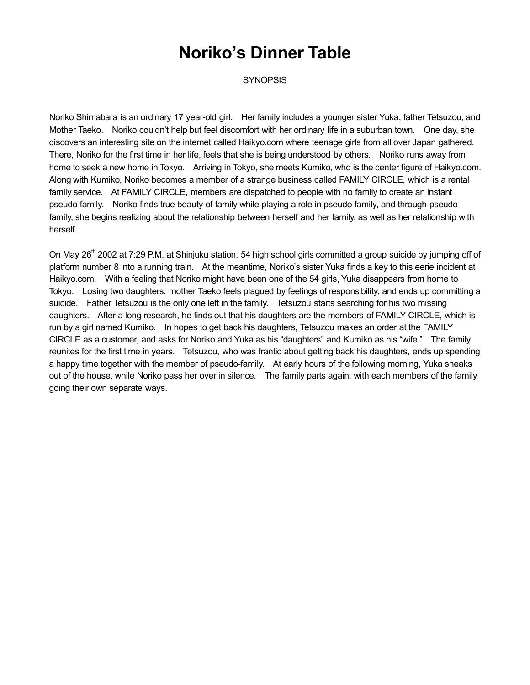**SYNOPSIS** 

Noriko Shimabara is an ordinary 17 year-old girl. Her family includes a younger sister Yuka, father Tetsuzou, and Mother Taeko. Noriko couldn't help but feel discomfort with her ordinary life in a suburban town. One day, she discovers an interesting site on the internet called Haikyo.com where teenage girls from all over Japan gathered. There, Noriko for the first time in her life, feels that she is being understood by others. Noriko runs away from home to seek a new home in Tokyo. Arriving in Tokyo, she meets Kumiko, who is the center figure of Haikyo.com. Along with Kumiko, Noriko becomes a member of a strange business called FAMILY CIRCLE, which is a rental family service. At FAMILY CIRCLE, members are dispatched to people with no family to create an instant pseudo-family. Noriko finds true beauty of family while playing a role in pseudo-family, and through pseudofamily, she begins realizing about the relationship between herself and her family, as well as her relationship with herself.

On May 26<sup>th</sup> 2002 at 7:29 P.M. at Shinjuku station, 54 high school girls committed a group suicide by jumping off of platform number 8 into a running train. At the meantime, Noriko's sister Yuka finds a key to this eerie incident at Haikyo.com. With a feeling that Noriko might have been one of the 54 girls, Yuka disappears from home to Tokyo. Losing two daughters, mother Taeko feels plagued by feelings of responsibility, and ends up committing a suicide. Father Tetsuzou is the only one left in the family. Tetsuzou starts searching for his two missing daughters. After a long research, he finds out that his daughters are the members of FAMILY CIRCLE, which is run by a girl named Kumiko. In hopes to get back his daughters, Tetsuzou makes an order at the FAMILY CIRCLE as a customer, and asks for Noriko and Yuka as his "daughters" and Kumiko as his "wife." The family reunites for the first time in years. Tetsuzou, who was frantic about getting back his daughters, ends up spending a happy time together with the member of pseudo-family. At early hours of the following morning, Yuka sneaks out of the house, while Noriko pass her over in silence. The family parts again, with each members of the family going their own separate ways.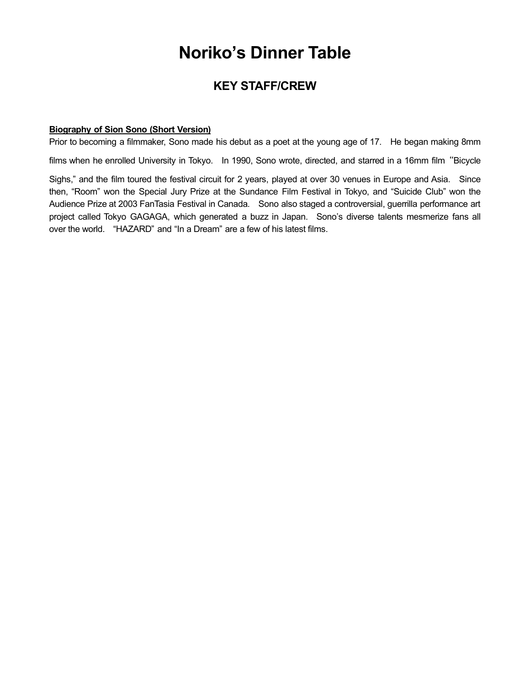## **KEY STAFF/CREW**

#### **Biography of Sion Sono (Short Version)**

Prior to becoming a filmmaker, Sono made his debut as a poet at the young age of 17. He began making 8mm

films when he enrolled University in Tokyo. In 1990, Sono wrote, directed, and starred in a 16mm film "Bicycle

Sighs," and the film toured the festival circuit for 2 years, played at over 30 venues in Europe and Asia. Since then, "Room" won the Special Jury Prize at the Sundance Film Festival in Tokyo, and "Suicide Club" won the Audience Prize at 2003 FanTasia Festival in Canada. Sono also staged a controversial, guerrilla performance art project called Tokyo GAGAGA, which generated a buzz in Japan. Sono's diverse talents mesmerize fans all over the world. "HAZARD" and "In a Dream" are a few of his latest films.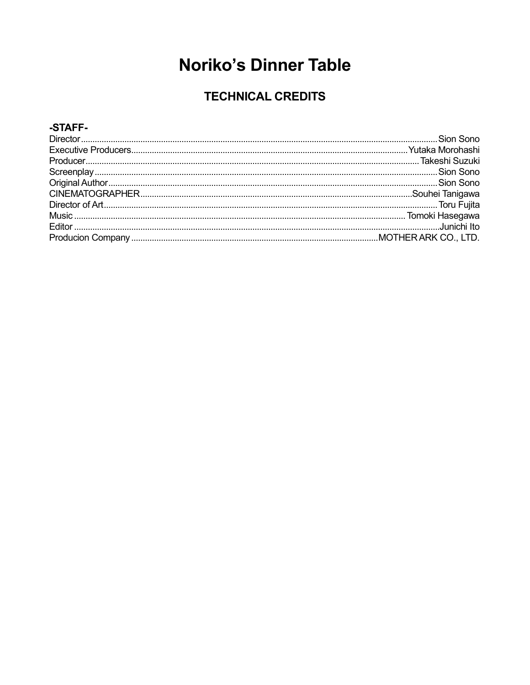## **TECHNICAL CREDITS**

#### -STAFF-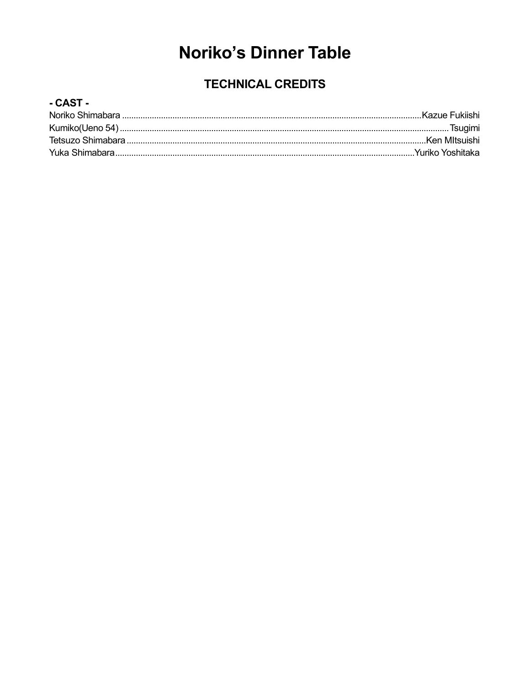## **TECHNICAL CREDITS**

### - CAST -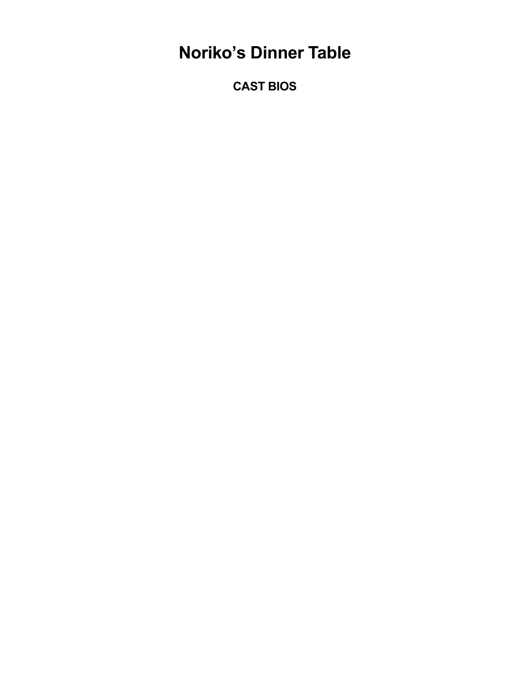**CAST BIOS**